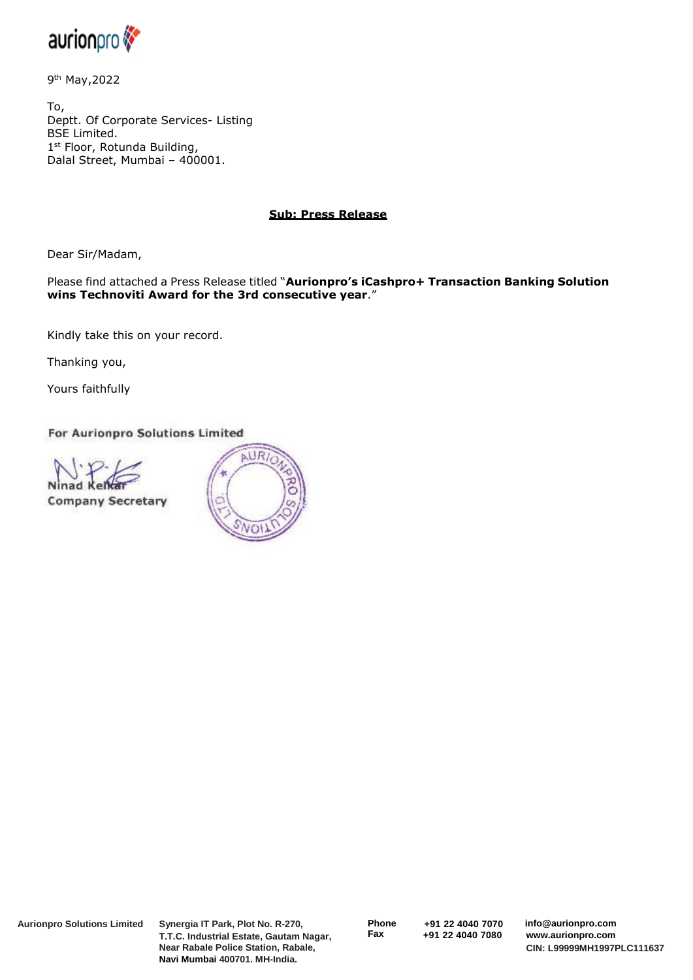

9<sup>th</sup> May,2022

To, Deptt. Of Corporate Services- Listing BSE Limited. 1<sup>st</sup> Floor, Rotunda Building, Dalal Street, Mumbai – 400001.

## **Sub: Press Release**

Dear Sir/Madam,

Please find attached a Press Release titled "**Aurionpro's iCashpro+ Transaction Banking Solution wins Technoviti Award for the 3rd consecutive year**."

Kindly take this on your record.

Thanking you,

Yours faithfully

For Aurionpro Solutions Limited



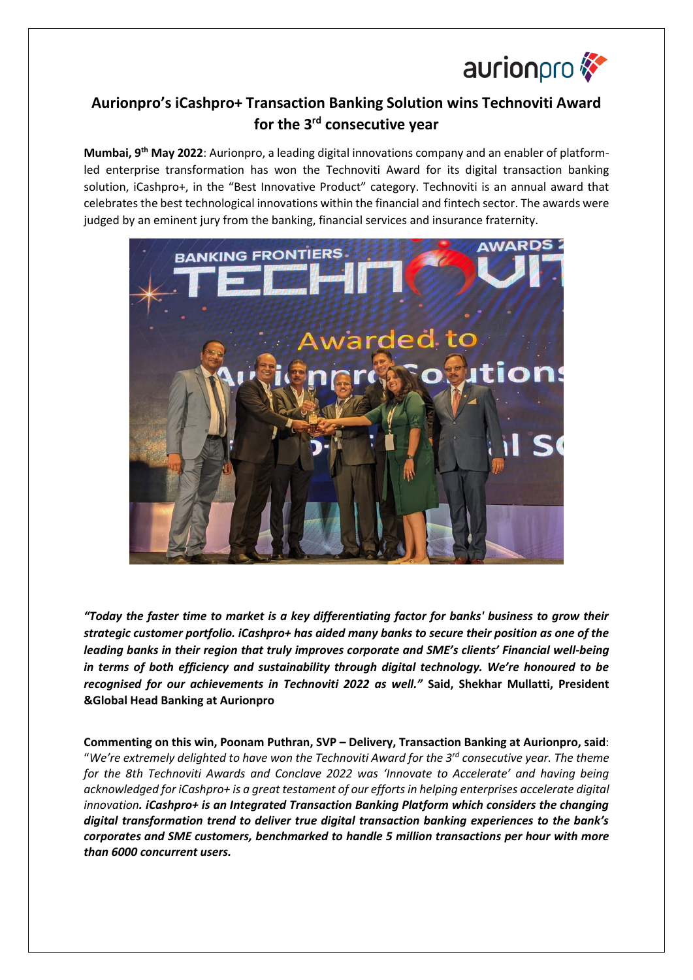

## **Aurionpro's iCashpro+ Transaction Banking Solution wins Technoviti Award for the 3rd consecutive year**

**Mumbai, 9th May 2022**: Aurionpro, a leading digital innovations company and an enabler of platformled enterprise transformation has won the Technoviti Award for its digital transaction banking solution, iCashpro+, in the "Best Innovative Product" category. Technoviti is an annual award that celebrates the best technological innovations within the financial and fintech sector. The awards were judged by an eminent jury from the banking, financial services and insurance fraternity.



*"Today the faster time to market is a key differentiating factor for banks' business to grow their strategic customer portfolio. iCashpro+ has aided many banks to secure their position as one of the leading banks in their region that truly improves corporate and SME's clients' Financial well-being in terms of both efficiency and sustainability through digital technology. We're honoured to be recognised for our achievements in Technoviti 2022 as well."* **Said, Shekhar Mullatti, President &Global Head Banking at Aurionpro**

**Commenting on this win, Poonam Puthran, SVP – Delivery, Transaction Banking at Aurionpro, said**: "*We're extremely delighted to have won the Technoviti Award for the 3rd consecutive year. The theme for the 8th Technoviti Awards and Conclave 2022 was 'Innovate to Accelerate' and having being acknowledged for iCashpro+ is a great testament of our efforts in helping enterprises accelerate digital innovation. iCashpro+ is an Integrated Transaction Banking Platform which considers the changing digital transformation trend to deliver true digital transaction banking experiences to the bank's corporates and SME customers, benchmarked to handle 5 million transactions per hour with more than 6000 concurrent users.*